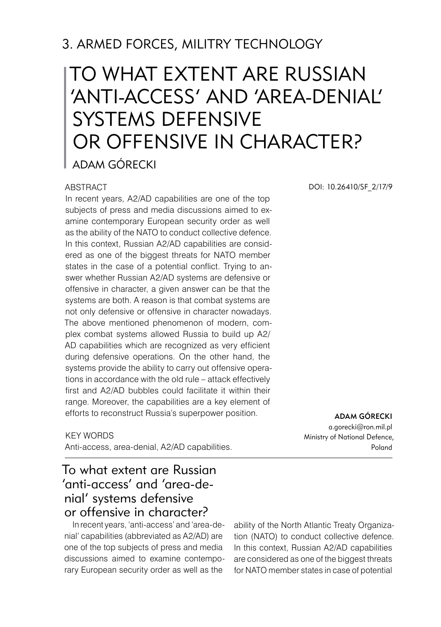# 3. ARMED FORCES, MILITRY TECHNOLOGY

# To what extent are Russian 'anti-access' and 'area-denial' systems defensive or offensive in character? Adam Górecki

#### ABSTRACT

In recent years, A2/AD capabilities are one of the top subjects of press and media discussions aimed to examine contemporary European security order as well as the ability of the NATO to conduct collective defence. In this context, Russian A2/AD capabilities are considered as one of the biggest threats for NATO member states in the case of a potential conflict. Trying to answer whether Russian A2/AD systems are defensive or offensive in character, a given answer can be that the systems are both. A reason is that combat systems are not only defensive or offensive in character nowadays. The above mentioned phenomenon of modern, complex combat systems allowed Russia to build up A2/ AD capabilities which are recognized as very efficient during defensive operations. On the other hand, the systems provide the ability to carry out offensive operations in accordance with the old rule – attack effectively first and A2/AD bubbles could facilitate it within their range. Moreover, the capabilities are a key element of efforts to reconstruct Russia's superpower position.

KEY WORDS Anti-access, area-denial, A2/AD capabilities.

### To what extent are Russian 'anti-access' and 'area-denial' systems defensive or offensive in character?

In recent years, 'anti-access' and 'area-denial' capabilities (abbreviated as A2/AD) are one of the top subjects of press and media discussions aimed to examine contemporary European security order as well as the

ability of the North Atlantic Treaty Organization (NATO) to conduct collective defence. In this context, Russian A2/AD capabilities are considered as one of the biggest threats for NATO member states in case of potential

DOI: 10.26410/SF\_2/17/9

ADAM GÓRECKI a.gorecki@ron.mil.pl Ministry of National Defence, Poland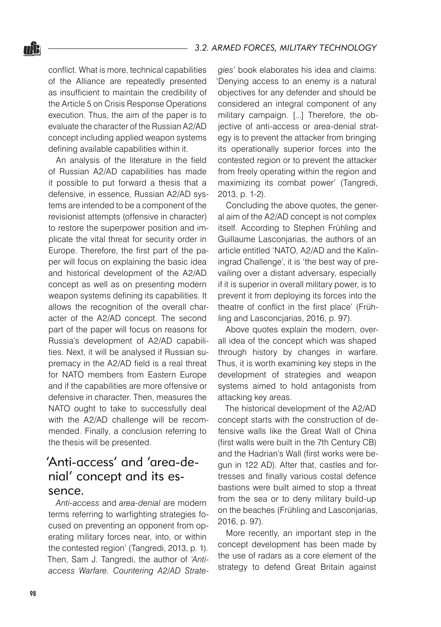conflict. What is more, technical capabilities of the Alliance are repeatedly presented as insufficient to maintain the credibility of the Article 5 on Crisis Response Operations execution. Thus, the aim of the paper is to evaluate the character of the Russian A2/AD concept including applied weapon systems defining available capabilities within it.

nŜ.

An analysis of the literature in the field of Russian A2/AD capabilities has made it possible to put forward a thesis that a defensive, in essence, Russian A2/AD systems are intended to be a component of the revisionist attempts (offensive in character) to restore the superpower position and implicate the vital threat for security order in Europe. Therefore, the first part of the paper will focus on explaining the basic idea and historical development of the A2/AD concept as well as on presenting modern weapon systems defining its capabilities. It allows the recognition of the overall character of the A2/AD concept. The second part of the paper will focus on reasons for Russia's development of A2/AD capabilities. Next, it will be analysed if Russian supremacy in the A2/AD field is a real threat for NATO members from Eastern Europe and if the capabilities are more offensive or defensive in character. Then, measures the NATO ought to take to successfully deal with the A2/AD challenge will be recommended. Finally, a conclusion referring to the thesis will be presented.

# 'Anti-access' and 'area-denial' concept and its essence.

*Anti-access* and *area-denial* are modern terms referring to warfighting strategies focused on preventing an opponent from operating military forces near, into, or within the contested region' (Tangredi, 2013, p. 1). Then, Sam J. Tangredi, the author of *'Antiaccess Warfare. Countering A2/AD Strate-*

*gies'* book elaborates his idea and claims: 'Denying access to an enemy is a natural objectives for any defender and should be considered an integral component of any military campaign. [...] Therefore, the objective of anti-access or area-denial strategy is to prevent the attacker from bringing its operationally superior forces into the contested region or to prevent the attacker from freely operating within the region and maximizing its combat power' (Tangredi, 2013, p. 1-2).

Concluding the above quotes, the general aim of the A2/AD concept is not complex itself. According to Stephen Frühling and Guillaume Lasconjarias, the authors of an article entitled 'NATO, A2/AD and the Kaliningrad Challenge', it is 'the best way of prevailing over a distant adversary, especially if it is superior in overall military power, is to prevent it from deploying its forces into the theatre of conflict in the first place' (Frühling and Lasconcjarias, 2016, p. 97).

Above quotes explain the modern, overall idea of the concept which was shaped through history by changes in warfare. Thus, it is worth examining key steps in the development of strategies and weapon systems aimed to hold antagonists from attacking key areas.

The historical development of the A2/AD concept starts with the construction of defensive walls like the Great Wall of China (first walls were built in the 7th Century CB) and the Hadrian's Wall (first works were begun in 122 AD). After that, castles and fortresses and finally various costal defence bastions were built aimed to stop a threat from the sea or to deny military build-up on the beaches (Frühling and Lasconjarias, 2016, p. 97).

More recently, an important step in the concept development has been made by the use of radars as a core element of the strategy to defend Great Britain against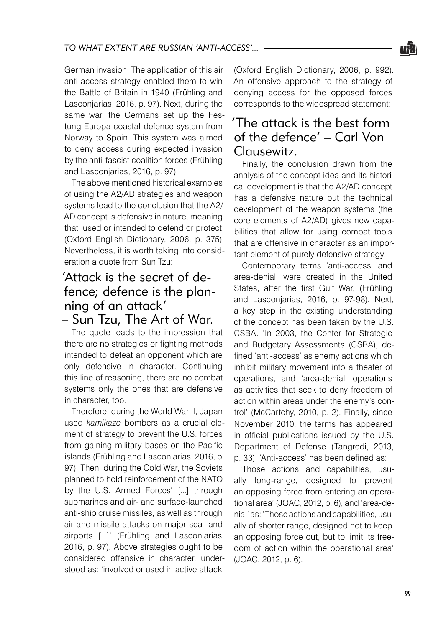

German invasion. The application of this air anti-access strategy enabled them to win the Battle of Britain in 1940 (Frühling and Lasconjarias, 2016, p. 97). Next, during the same war, the Germans set up the Festung Europa coastal-defence system from Norway to Spain. This system was aimed to deny access during expected invasion by the anti-fascist coalition forces (Frühling and Lasconjarias, 2016, p. 97).

The above mentioned historical examples of using the A2/AD strategies and weapon systems lead to the conclusion that the A2/ AD concept is defensive in nature, meaning that 'used or intended to defend or protect' (Oxford English Dictionary, 2006, p. 375). Nevertheless, it is worth taking into consideration a quote from Sun Tzu:

# 'Attack is the secret of defence; defence is the planning of an attack'

– Sun Tzu, The Art of War.

The quote leads to the impression that there are no strategies or fighting methods intended to defeat an opponent which are only defensive in character. Continuing this line of reasoning, there are no combat systems only the ones that are defensive in character, too.

Therefore, during the World War II, Japan used *kamikaze* bombers as a crucial element of strategy to prevent the U.S. forces from gaining military bases on the Pacific islands (Frühling and Lasconjarias, 2016, p. 97). Then, during the Cold War, the Soviets planned to hold reinforcement of the NATO by the U.S. Armed Forces' [...] through submarines and air- and surface-launched anti-ship cruise missiles, as well as through air and missile attacks on major sea- and airports [...]' (Frühling and Lasconjarias, 2016, p. 97). Above strategies ought to be considered offensive in character, understood as: 'involved or used in active attack'

(Oxford English Dictionary, 2006, p. 992). An offensive approach to the strategy of denying access for the opposed forces corresponds to the widespread statement:

# 'The attack is the best form of the defence' – Carl Von Clausewitz.

Finally, the conclusion drawn from the analysis of the concept idea and its historical development is that the A2/AD concept has a defensive nature but the technical development of the weapon systems (the core elements of A2/AD) gives new capabilities that allow for using combat tools that are offensive in character as an important element of purely defensive strategy.

Contemporary terms 'anti-access' and 'area-denial' were created in the United States, after the first Gulf War, (Frühling and Lasconjarias, 2016, p. 97-98). Next, a key step in the existing understanding of the concept has been taken by the U.S. CSBA. 'In 2003, the Center for Strategic and Budgetary Assessments (CSBA), defined 'anti-access' as enemy actions which inhibit military movement into a theater of operations, and 'area-denial' operations as activities that seek to deny freedom of action within areas under the enemy's control' (McCartchy, 2010, p. 2). Finally, since November 2010, the terms has appeared in official publications issued by the U.S. Department of Defense (Tangredi, 2013, p. 33). 'Anti-access' has been defined as:

'Those actions and capabilities, usually long-range, designed to prevent an opposing force from entering an operational area' (JOAC, 2012, p. 6), and 'area-denial' as: 'Those actions and capabilities, usually of shorter range, designed not to keep an opposing force out, but to limit its freedom of action within the operational area' (JOAC, 2012, p. 6).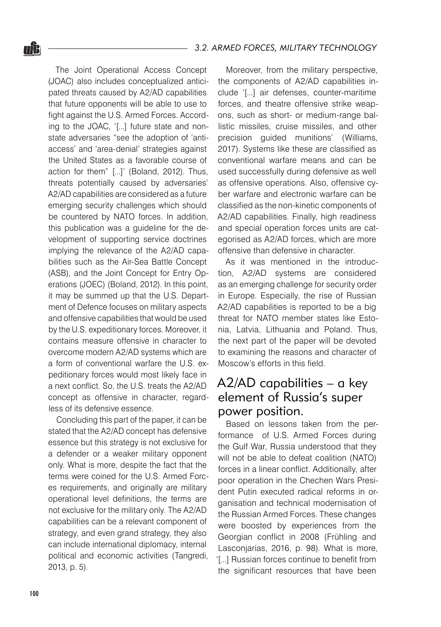The Joint Operational Access Concept (JOAC) also includes conceptualized anticipated threats caused by A2/AD capabilities that future opponents will be able to use to fight against the U.S. Armed Forces. According to the JOAC, '[...] future state and nonstate adversaries "see the adoption of 'antiaccess' and 'area-denial' strategies against the United States as a favorable course of action for them" [...]' (Boland, 2012). Thus, threats potentially caused by adversaries' A2/AD capabilities are considered as a future emerging security challenges which should be countered by NATO forces. In addition, this publication was a guideline for the development of supporting service doctrines implying the relevance of the A2/AD capabilities such as the Air-Sea Battle Concept (ASB), and the Joint Concept for Entry Operations (JOEC) (Boland, 2012). In this point, it may be summed up that the U.S. Department of Defence focuses on military aspects and offensive capabilities that would be used by the U.S. expeditionary forces. Moreover, it contains measure offensive in character to overcome modern A2/AD systems which are a form of conventional warfare the U.S. expeditionary forces would most likely face in a next conflict. So, the U.S. treats the A2/AD concept as offensive in character, regardless of its defensive essence.

Concluding this part of the paper, it can be stated that the A2/AD concept has defensive essence but this strategy is not exclusive for a defender or a weaker military opponent only. What is more, despite the fact that the terms were coined for the U.S. Armed Forces requirements, and originally are military operational level definitions, the terms are not exclusive for the military only. The A2/AD capabilities can be a relevant component of strategy, and even grand strategy, they also can include international diplomacy, internal political and economic activities (Tangredi, 2013, p. 5).

Moreover, from the military perspective, the components of A2/AD capabilities include '[...] air defenses, counter-maritime forces, and theatre offensive strike weapons, such as short- or medium-range ballistic missiles, cruise missiles, and other precision guided munitions' (Williams, 2017). Systems like these are classified as conventional warfare means and can be used successfully during defensive as well as offensive operations. Also, offensive cyber warfare and electronic warfare can be classified as the non-kinetic components of A2/AD capabilities. Finally, high readiness and special operation forces units are categorised as A2/AD forces, which are more offensive than defensive in character.

As it was mentioned in the introduction, A2/AD systems are considered as an emerging challenge for security order in Europe. Especially, the rise of Russian A2/AD capabilities is reported to be a big threat for NATO member states like Estonia, Latvia, Lithuania and Poland. Thus, the next part of the paper will be devoted to examining the reasons and character of Moscow's efforts in this field.

# A2/AD capabilities – a key element of Russia's super power position.

Based on lessons taken from the performance of U.S. Armed Forces during the Gulf War, Russia understood that they will not be able to defeat coalition (NATO) forces in a linear conflict. Additionally, after poor operation in the Chechen Wars President Putin executed radical reforms in organisation and technical modernisation of the Russian Armed Forces. These changes were boosted by experiences from the Georgian conflict in 2008 (Frühling and Lasconjarias, 2016, p. 98). What is more, '[...] Russian forces continue to benefit from the significant resources that have been

<u>nâ l</u>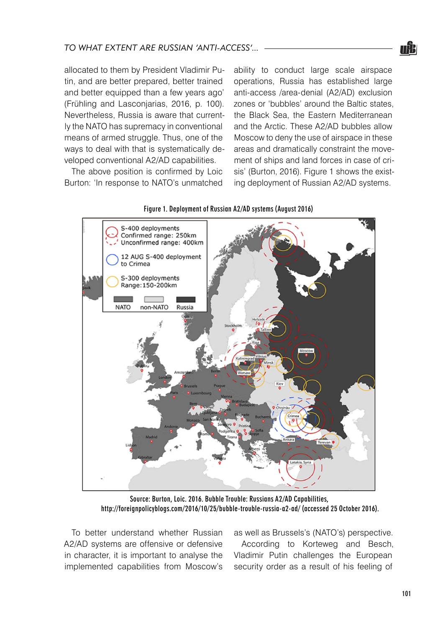

allocated to them by President Vladimir Putin, and are better prepared, better trained and better equipped than a few years ago' (Frühling and Lasconjarias, 2016, p. 100). Nevertheless, Russia is aware that currently the NATO has supremacy in conventional means of armed struggle. Thus, one of the ways to deal with that is systematically developed conventional A2/AD capabilities.

The above position is confirmed by Loic Burton: 'In response to NATO's unmatched ability to conduct large scale airspace operations, Russia has established large anti-access /area-denial (A2/AD) exclusion zones or 'bubbles' around the Baltic states, the Black Sea, the Eastern Mediterranean and the Arctic. These A2/AD bubbles allow Moscow to deny the use of airspace in these areas and dramatically constraint the movement of ships and land forces in case of crisis' (Burton, 2016). Figure 1 shows the existing deployment of Russian A2/AD systems.



#### Figure 1. Deployment of Russian A2/AD systems (August 2016)

Source: Burton, Loic. 2016. Bubble Trouble: Russians A2/AD Capabilities, http://foreignpolicyblogs.com/2016/10/25/bubble-trouble-russia-a2-ad/ (accessed 25 October 2016).

To better understand whether Russian A2/AD systems are offensive or defensive in character, it is important to analyse the implemented capabilities from Moscow's

as well as Brussels's (NATO's) perspective.

According to Korteweg and Besch, Vladimir Putin challenges the European security order as a result of his feeling of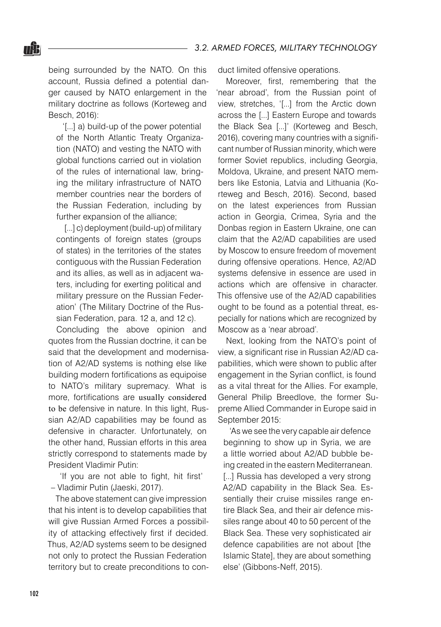being surrounded by the NATO. On this account, Russia defined a potential danger caused by NATO enlargement in the military doctrine as follows (Korteweg and Besch, 2016):

nŜ.

'[...] a) build-up of the power potential of the North Atlantic Treaty Organization (NATO) and vesting the NATO with global functions carried out in violation of the rules of international law, bringing the military infrastructure of NATO member countries near the borders of the Russian Federation, including by further expansion of the alliance;

[...] c) deployment (build-up) of military contingents of foreign states (groups of states) in the territories of the states contiguous with the Russian Federation and its allies, as well as in adjacent waters, including for exerting political and military pressure on the Russian Federation' (The Military Doctrine of the Russian Federation, para. 12 a, and 12 c).

Concluding the above opinion and quotes from the Russian doctrine, it can be said that the development and modernisation of A2/AD systems is nothing else like building modern fortifications as equipoise to NATO's military supremacy. What is more, fortifications are usually considered to be defensive in nature. In this light, Russian A2/AD capabilities may be found as defensive in character. Unfortunately, on the other hand, Russian efforts in this area strictly correspond to statements made by President Vladimir Putin:

'If you are not able to fight, hit first' – Vladimir Putin (Jaeski, 2017).

The above statement can give impression that his intent is to develop capabilities that will give Russian Armed Forces a possibility of attacking effectively first if decided. Thus, A2/AD systems seem to be designed not only to protect the Russian Federation territory but to create preconditions to conduct limited offensive operations.

Moreover, first, remembering that the 'near abroad', from the Russian point of view, stretches, '[...] from the Arctic down across the [...] Eastern Europe and towards the Black Sea [...]' (Korteweg and Besch, 2016), covering many countries with a significant number of Russian minority, which were former Soviet republics, including Georgia, Moldova, Ukraine, and present NATO members like Estonia, Latvia and Lithuania (Korteweg and Besch, 2016). Second, based on the latest experiences from Russian action in Georgia, Crimea, Syria and the Donbas region in Eastern Ukraine, one can claim that the A2/AD capabilities are used by Moscow to ensure freedom of movement during offensive operations. Hence, A2/AD systems defensive in essence are used in actions which are offensive in character. This offensive use of the A2/AD capabilities ought to be found as a potential threat, especially for nations which are recognized by Moscow as a 'near abroad'.

Next, looking from the NATO's point of view, a significant rise in Russian A2/AD capabilities, which were shown to public after engagement in the Syrian conflict, is found as a vital threat for the Allies. For example, General Philip Breedlove, the former Supreme Allied Commander in Europe said in September 2015:

'As we see the very capable air defence beginning to show up in Syria, we are a little worried about A2/AD bubble being created in the eastern Mediterranean. [...] Russia has developed a very strong A2/AD capability in the Black Sea. Essentially their cruise missiles range entire Black Sea, and their air defence missiles range about 40 to 50 percent of the Black Sea. These very sophisticated air defence capabilities are not about [the Islamic State], they are about something else' (Gibbons-Neff, 2015).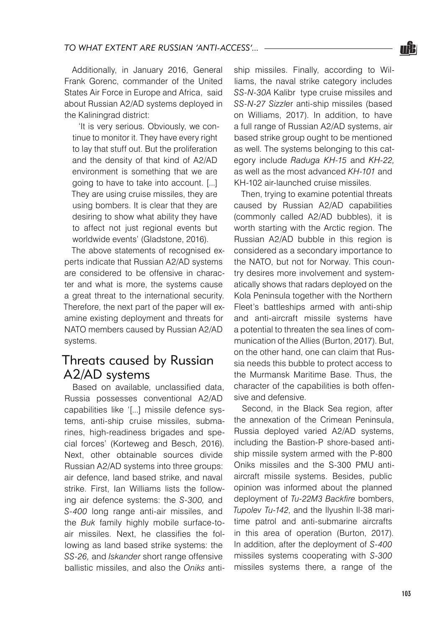Additionally, in January 2016, General Frank Gorenc, commander of the United States Air Force in Europe and Africa, said about Russian A2/AD systems deployed in the Kaliningrad district:

'It is very serious. Obviously, we continue to monitor it. They have every right to lay that stuff out. But the proliferation and the density of that kind of A2/AD environment is something that we are going to have to take into account. [...] They are using cruise missiles, they are using bombers. It is clear that they are desiring to show what ability they have to affect not just regional events but worldwide events' (Gladstone, 2016).

The above statements of recognised experts indicate that Russian A2/AD systems are considered to be offensive in character and what is more, the systems cause a great threat to the international security. Therefore, the next part of the paper will examine existing deployment and threats for NATO members caused by Russian A2/AD systems.

### Threats caused by Russian A2/AD systems

Based on available, unclassified data, Russia possesses conventional A2/AD capabilities like '[...] missile defence systems, anti-ship cruise missiles, submarines, high-readiness brigades and special forces' (Korteweg and Besch, 2016). Next, other obtainable sources divide Russian A2/AD systems into three groups: air defence, land based strike, and naval strike. First, Ian Williams lists the following air defence systems: the *S-300,* and *S-400* long range anti-air missiles, and the *Buk* family highly mobile surface-toair missiles. Next, he classifies the following as land based strike systems: the *SS-26,* and *Iskander* short range offensive ballistic missiles, and also the *Oniks* antiship missiles. Finally, according to Williams, the naval strike category includes *SS-N-30A* Kalibr type cruise missiles and *SS-N-27 Sizzle*r anti-ship missiles (based on Williams, 2017). In addition, to have a full range of Russian A2/AD systems, air based strike group ought to be mentioned as well. The systems belonging to this category include *Raduga KH-15* and *KH-22,* as well as the most advanced *KH-101* and KH-102 air-launched cruise missiles.

Then, trying to examine potential threats caused by Russian A2/AD capabilities (commonly called A2/AD bubbles), it is worth starting with the Arctic region. The Russian A2/AD bubble in this region is considered as a secondary importance to the NATO, but not for Norway. This country desires more involvement and systematically shows that radars deployed on the Kola Peninsula together with the Northern Fleet's battleships armed with anti-ship and anti-aircraft missile systems have a potential to threaten the sea lines of communication of the Allies (Burton, 2017). But, on the other hand, one can claim that Russia needs this bubble to protect access to the Murmansk Maritime Base. Thus, the character of the capabilities is both offensive and defensive.

Second, in the Black Sea region, after the annexation of the Crimean Peninsula, Russia deployed varied A2/AD systems, including the Bastion-P shore-based antiship missile system armed with the P-800 Oniks missiles and the S-300 PMU antiaircraft missile systems. Besides, public opinion was informed about the planned deployment of *Tu-22M3 Backfire* bombers, *Tupolev Tu-142*, and the Ilyushin Il-38 maritime patrol and anti-submarine aircrafts in this area of operation (Burton, 2017). In addition, after the deployment of *S-400* missiles systems cooperating with *S-300*  missiles systems there, a range of the

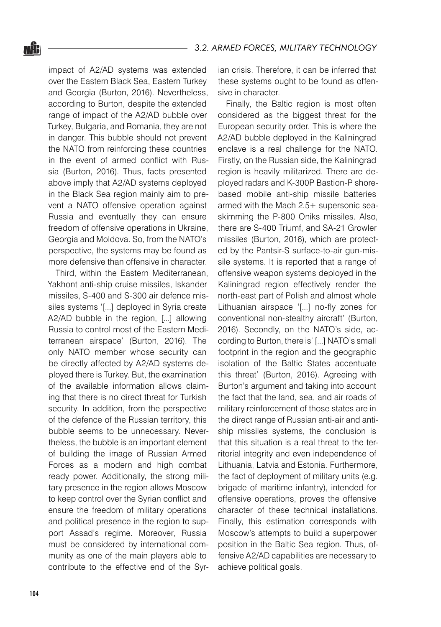impact of A2/AD systems was extended over the Eastern Black Sea, Eastern Turkey and Georgia (Burton, 2016). Nevertheless, according to Burton, despite the extended range of impact of the A2/AD bubble over Turkey, Bulgaria, and Romania, they are not in danger. This bubble should not prevent the NATO from reinforcing these countries in the event of armed conflict with Russia (Burton, 2016). Thus, facts presented above imply that A2/AD systems deployed in the Black Sea region mainly aim to prevent a NATO offensive operation against Russia and eventually they can ensure freedom of offensive operations in Ukraine, Georgia and Moldova. So, from the NATO's perspective, the systems may be found as more defensive than offensive in character.

Third, within the Eastern Mediterranean, Yakhont anti-ship cruise missiles, Iskander missiles, S-400 and S-300 air defence missiles systems '[...] deployed in Syria create A2/AD bubble in the region, [...] allowing Russia to control most of the Eastern Mediterranean airspace' (Burton, 2016). The only NATO member whose security can be directly affected by A2/AD systems deployed there is Turkey. But, the examination of the available information allows claiming that there is no direct threat for Turkish security. In addition, from the perspective of the defence of the Russian territory, this bubble seems to be unnecessary. Nevertheless, the bubble is an important element of building the image of Russian Armed Forces as a modern and high combat ready power. Additionally, the strong military presence in the region allows Moscow to keep control over the Syrian conflict and ensure the freedom of military operations and political presence in the region to support Assad's regime. Moreover, Russia must be considered by international community as one of the main players able to contribute to the effective end of the Syrian crisis. Therefore, it can be inferred that these systems ought to be found as offensive in character.

Finally, the Baltic region is most often considered as the biggest threat for the European security order. This is where the A2/AD bubble deployed in the Kaliningrad enclave is a real challenge for the NATO. Firstly, on the Russian side, the Kaliningrad region is heavily militarized. There are deployed radars and K-300P Bastion-P shorebased mobile anti-ship missile batteries armed with the Mach 2.5+ supersonic seaskimming the P-800 Oniks missiles. Also, there are S-400 Triumf, and SA-21 Growler missiles (Burton, 2016), which are protected by the Pantsir-S surface-to-air gun-missile systems. It is reported that a range of offensive weapon systems deployed in the Kaliningrad region effectively render the north-east part of Polish and almost whole Lithuanian airspace '[...] no-fly zones for conventional non-stealthy aircraft' (Burton, 2016). Secondly, on the NATO's side, according to Burton, there is' [...] NATO's small footprint in the region and the geographic isolation of the Baltic States accentuate this threat' (Burton, 2016). Agreeing with Burton's argument and taking into account the fact that the land, sea, and air roads of military reinforcement of those states are in the direct range of Russian anti-air and antiship missiles systems, the conclusion is that this situation is a real threat to the territorial integrity and even independence of Lithuania, Latvia and Estonia. Furthermore, the fact of deployment of military units (e.g. brigade of maritime infantry), intended for offensive operations, proves the offensive character of these technical installations. Finally, this estimation corresponds with Moscow's attempts to build a superpower position in the Baltic Sea region. Thus, offensive A2/AD capabilities are necessary to achieve political goals.

uk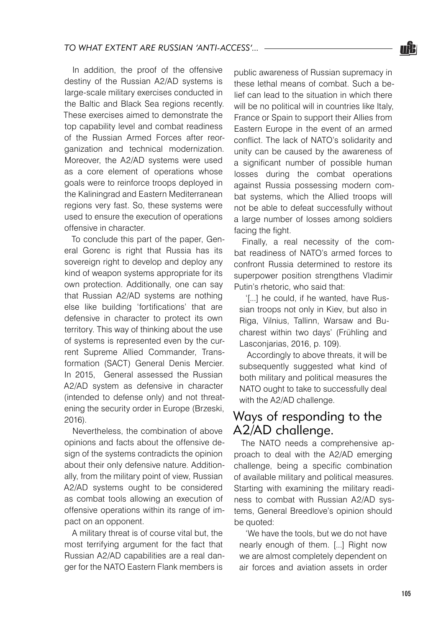In addition, the proof of the offensive destiny of the Russian A2/AD systems is large-scale military exercises conducted in the Baltic and Black Sea regions recently. These exercises aimed to demonstrate the top capability level and combat readiness of the Russian Armed Forces after reorganization and technical modernization. Moreover, the A2/AD systems were used as a core element of operations whose goals were to reinforce troops deployed in the Kaliningrad and Eastern Mediterranean regions very fast. So, these systems were used to ensure the execution of operations offensive in character.

To conclude this part of the paper, General Gorenc is right that Russia has its sovereign right to develop and deploy any kind of weapon systems appropriate for its own protection. Additionally, one can say that Russian A2/AD systems are nothing else like building 'fortifications' that are defensive in character to protect its own territory. This way of thinking about the use of systems is represented even by the current Supreme Allied Commander, Transformation (SACT) General Denis Mercier. In 2015, General assessed the Russian A2/AD system as defensive in character (intended to defense only) and not threatening the security order in Europe (Brzeski, 2016).

Nevertheless, the combination of above opinions and facts about the offensive design of the systems contradicts the opinion about their only defensive nature. Additionally, from the military point of view, Russian A2/AD systems ought to be considered as combat tools allowing an execution of offensive operations within its range of impact on an opponent.

A military threat is of course vital but, the most terrifying argument for the fact that Russian A2/AD capabilities are a real danger for the NATO Eastern Flank members is

public awareness of Russian supremacy in these lethal means of combat. Such a belief can lead to the situation in which there will be no political will in countries like Italy, France or Spain to support their Allies from Eastern Europe in the event of an armed conflict. The lack of NATO's solidarity and unity can be caused by the awareness of a significant number of possible human losses during the combat operations against Russia possessing modern combat systems, which the Allied troops will not be able to defeat successfully without a large number of losses among soldiers facing the fight.

Finally, a real necessity of the combat readiness of NATO's armed forces to confront Russia determined to restore its superpower position strengthens Vladimir Putin's rhetoric, who said that:

'[...] he could, if he wanted, have Russian troops not only in Kiev, but also in Riga, Vilnius, Tallinn, Warsaw and Bucharest within two days' (Frühling and Lasconjarias, 2016, p. 109).

Accordingly to above threats, it will be subsequently suggested what kind of both military and political measures the NATO ought to take to successfully deal with the A2/AD challenge.

### Ways of responding to the A2/AD challenge.

The NATO needs a comprehensive approach to deal with the A2/AD emerging challenge, being a specific combination of available military and political measures. Starting with examining the military readiness to combat with Russian A2/AD systems, General Breedlove's opinion should be quoted:

'We have the tools, but we do not have nearly enough of them. [...] Right now we are almost completely dependent on air forces and aviation assets in order

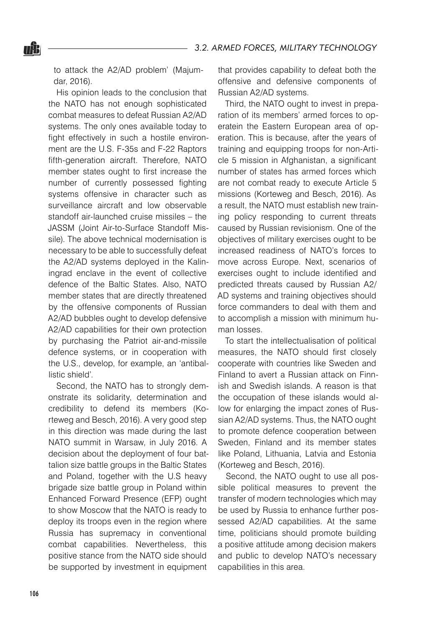to attack the A2/AD problem' (Majumdar, 2016).

nŜ.

His opinion leads to the conclusion that the NATO has not enough sophisticated combat measures to defeat Russian A2/AD systems. The only ones available today to fight effectively in such a hostile environment are the U.S. F-35s and F-22 Raptors fifth-generation aircraft. Therefore, NATO member states ought to first increase the number of currently possessed fighting systems offensive in character such as surveillance aircraft and low observable standoff air-launched cruise missiles – the JASSM (Joint Air-to-Surface Standoff Missile). The above technical modernisation is necessary to be able to successfully defeat the A2/AD systems deployed in the Kaliningrad enclave in the event of collective defence of the Baltic States. Also, NATO member states that are directly threatened by the offensive components of Russian A2/AD bubbles ought to develop defensive A2/AD capabilities for their own protection by purchasing the Patriot air-and-missile defence systems, or in cooperation with the U.S., develop, for example, an 'antiballistic shield'.

Second, the NATO has to strongly demonstrate its solidarity, determination and credibility to defend its members (Korteweg and Besch, 2016). A very good step in this direction was made during the last NATO summit in Warsaw, in July 2016. A decision about the deployment of four battalion size battle groups in the Baltic States and Poland, together with the U.S heavy brigade size battle group in Poland within Enhanced Forward Presence (EFP) ought to show Moscow that the NATO is ready to deploy its troops even in the region where Russia has supremacy in conventional combat capabilities. Nevertheless, this positive stance from the NATO side should be supported by investment in equipment

that provides capability to defeat both the offensive and defensive components of Russian A2/AD systems.

Third, the NATO ought to invest in preparation of its members' armed forces to operatein the Eastern European area of operation. This is because, after the years of training and equipping troops for non-Article 5 mission in Afghanistan, a significant number of states has armed forces which are not combat ready to execute Article 5 missions (Korteweg and Besch, 2016). As a result, the NATO must establish new training policy responding to current threats caused by Russian revisionism. One of the objectives of military exercises ought to be increased readiness of NATO's forces to move across Europe. Next, scenarios of exercises ought to include identified and predicted threats caused by Russian A2/ AD systems and training objectives should force commanders to deal with them and to accomplish a mission with minimum human losses.

To start the intellectualisation of political measures, the NATO should first closely cooperate with countries like Sweden and Finland to avert a Russian attack on Finnish and Swedish islands. A reason is that the occupation of these islands would allow for enlarging the impact zones of Russian A2/AD systems. Thus, the NATO ought to promote defence cooperation between Sweden, Finland and its member states like Poland, Lithuania, Latvia and Estonia (Korteweg and Besch, 2016).

Second, the NATO ought to use all possible political measures to prevent the transfer of modern technologies which may be used by Russia to enhance further possessed A2/AD capabilities. At the same time, politicians should promote building a positive attitude among decision makers and public to develop NATO's necessary capabilities in this area.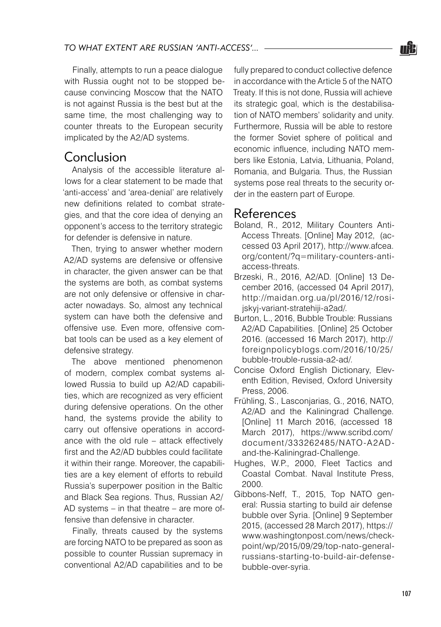

Finally, attempts to run a peace dialogue with Russia ought not to be stopped because convincing Moscow that the NATO is not against Russia is the best but at the same time, the most challenging way to counter threats to the European security implicated by the A2/AD systems.

#### Conclusion

Analysis of the accessible literature allows for a clear statement to be made that 'anti-access' and 'area-denial' are relatively new definitions related to combat strategies, and that the core idea of denying an opponent's access to the territory strategic for defender is defensive in nature.

Then, trying to answer whether modern A2/AD systems are defensive or offensive in character, the given answer can be that the systems are both, as combat systems are not only defensive or offensive in character nowadays. So, almost any technical system can have both the defensive and offensive use. Even more, offensive combat tools can be used as a key element of defensive strategy.

The above mentioned phenomenon of modern, complex combat systems allowed Russia to build up A2/AD capabilities, which are recognized as very efficient during defensive operations. On the other hand, the systems provide the ability to carry out offensive operations in accordance with the old rule – attack effectively first and the A2/AD bubbles could facilitate it within their range. Moreover, the capabilities are a key element of efforts to rebuild Russia's superpower position in the Baltic and Black Sea regions. Thus, Russian A2/ AD systems – in that theatre – are more offensive than defensive in character.

Finally, threats caused by the systems are forcing NATO to be prepared as soon as possible to counter Russian supremacy in conventional A2/AD capabilities and to be fully prepared to conduct collective defence in accordance with the Article 5 of the NATO Treaty. If this is not done, Russia will achieve its strategic goal, which is the destabilisation of NATO members' solidarity and unity. Furthermore, Russia will be able to restore the former Soviet sphere of political and economic influence, including NATO members like Estonia, Latvia, Lithuania, Poland, Romania, and Bulgaria. Thus, the Russian systems pose real threats to the security order in the eastern part of Europe.

### References

- Boland, R., 2012, Military Counters Anti-Access Threats. [Online] May 2012, (accessed 03 April 2017), http://www.afcea. org/content/?q=military-counters-antiaccess-threats.
- Brzeski, R., 2016, A2/AD. [Online] 13 December 2016, (accessed 04 April 2017), http://maidan.org.ua/pl/2016/12/rosijskyj-variant-stratehiji-a2ad/.
- Burton, L., 2016, Bubble Trouble: Russians A2/AD Capabilities. [Online] 25 October 2016. (accessed 16 March 2017), http:// foreignpolicyblogs.com/2016/10/25/ bubble-trouble-russia-a2-ad/.
- Concise Oxford English Dictionary, Eleventh Edition, Revised, Oxford University Press, 2006.
- Frühling, S., Lasconjarias, G., 2016, NATO, A<sub>2</sub>/A<sub>D</sub> and the Kaliningrad Challenge. [Online] 11 March 2016, (accessed 18 March 2017), https://www.scribd.com/ document/333262485/NATO-A2ADand-the-Kaliningrad-Challenge.
- Hughes, W.P., 2000, Fleet Tactics and Coastal Combat. Naval Institute Press, 2000.
- Gibbons-Neff, T., 2015, Top NATO general: Russia starting to build air defense bubble over Syria. [Online] 9 September 2015, (accessed 28 March 2017), https:// www.washingtonpost.com/news/checkpoint/wp/2015/09/29/top-nato-generalrussians-starting-to-build-air-defensebubble-over-syria.